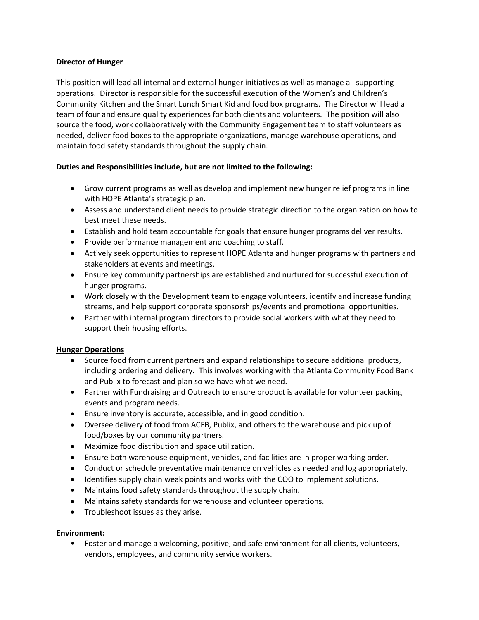### **Director of Hunger**

This position will lead all internal and external hunger initiatives as well as manage all supporting operations. Director is responsible for the successful execution of the Women's and Children's Community Kitchen and the Smart Lunch Smart Kid and food box programs. The Director will lead a team of four and ensure quality experiences for both clients and volunteers. The position will also source the food, work collaboratively with the Community Engagement team to staff volunteers as needed, deliver food boxes to the appropriate organizations, manage warehouse operations, and maintain food safety standards throughout the supply chain.

### **Duties and Responsibilities include, but are not limited to the following:**

- Grow current programs as well as develop and implement new hunger relief programs in line with HOPE Atlanta's strategic plan.
- Assess and understand client needs to provide strategic direction to the organization on how to best meet these needs.
- Establish and hold team accountable for goals that ensure hunger programs deliver results.
- Provide performance management and coaching to staff.
- Actively seek opportunities to represent HOPE Atlanta and hunger programs with partners and stakeholders at events and meetings.
- Ensure key community partnerships are established and nurtured for successful execution of hunger programs.
- Work closely with the Development team to engage volunteers, identify and increase funding streams, and help support corporate sponsorships/events and promotional opportunities.
- Partner with internal program directors to provide social workers with what they need to support their housing efforts.

### **Hunger Operations**

- Source food from current partners and expand relationships to secure additional products, including ordering and delivery. This involves working with the Atlanta Community Food Bank and Publix to forecast and plan so we have what we need.
- Partner with Fundraising and Outreach to ensure product is available for volunteer packing events and program needs.
- Ensure inventory is accurate, accessible, and in good condition.
- Oversee delivery of food from ACFB, Publix, and others to the warehouse and pick up of food/boxes by our community partners.
- Maximize food distribution and space utilization.
- Ensure both warehouse equipment, vehicles, and facilities are in proper working order.
- Conduct or schedule preventative maintenance on vehicles as needed and log appropriately.
- Identifies supply chain weak points and works with the COO to implement solutions.
- Maintains food safety standards throughout the supply chain.
- Maintains safety standards for warehouse and volunteer operations.
- Troubleshoot issues as they arise.

### **Environment:**

• Foster and manage a welcoming, positive, and safe environment for all clients, volunteers, vendors, employees, and community service workers.